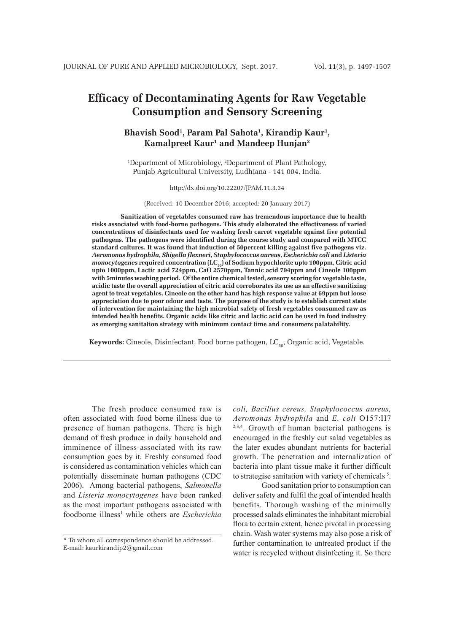# **Efficacy of Decontaminating Agents for Raw Vegetable Consumption and Sensory Screening**

# **Bhavish Sood1 , Param Pal Sahota1 , Kirandip Kaur1 , Kamalpreet Kaur1 and Mandeep Hunjan2**

<sup>1</sup>Department of Microbiology, <sup>2</sup>Department of Plant Pathology, Punjab Agricultural University, Ludhiana - 141 004, India.

http://dx.doi.org/10.22207/JPAM.11.3.34

(Received: 10 December 2016; accepted: 20 January 2017)

**Sanitization of vegetables consumed raw has tremendous importance due to health risks associated with food-borne pathogens. This study elaborated the effectiveness of varied concentrations of disinfectants used for washing fresh carrot vegetable against five potential pathogens. The pathogens were identified during the course study and compared with MTCC standard cultures. It was found that induction of 50percent killing against five pathogens viz.**  *Aeromonas hydrophila***,** *Shigella flexneri***,** *Staphylococcus aureus***,** *Escherichia coli* **and** *Listeria monocytogenes* required concentration (LC<sub>50</sub>) of Sodium hypochlorite upto 100ppm, Citric acid **upto 1000ppm, Lactic acid 724ppm, CaO 2570ppm, Tannic acid 794ppm and Cineole 100ppm with 5minutes washing period. Of the entire chemical tested, sensory scoring for vegetable taste, acidic taste the overall appreciation of citric acid corroborates its use as an effective sanitizing agent to treat vegetables. Cineole on the other hand has high response value at 69ppm but loose appreciation due to poor odour and taste. The purpose of the study is to establish current state of intervention for maintaining the high microbial safety of fresh vegetables consumed raw as intended health benefits. Organic acids like citric and lactic acid can be used in food industry as emerging sanitation strategy with minimum contact time and consumers palatability.**

**Keywords:** Cineole, Disinfectant, Food borne pathogen, LC<sub>50</sub>, Organic acid, Vegetable.

The fresh produce consumed raw is often associated with food borne illness due to presence of human pathogens. There is high demand of fresh produce in daily household and imminence of illness associated with its raw consumption goes by it. Freshly consumed food is considered as contamination vehicles which can potentially disseminate human pathogens (CDC 2006). Among bacterial pathogens, *Salmonella* and *Listeria monocytogenes* have been ranked as the most important pathogens associated with foodborne illness<sup>1</sup> while others are *Escherichia*  *coli, Bacillus cereus, Staphylococcus aureus, Aeromonas hydrophila* and *E. coli* O157:H7  $2,3,4$ . Growth of human bacterial pathogens is encouraged in the freshly cut salad vegetables as the later exudes abundant nutrients for bacterial growth. The penetration and internalization of bacteria into plant tissue make it further difficult to strategise sanitation with variety of chemicals<sup>5</sup>.

Good sanitation prior to consumption can deliver safety and fulfil the goal of intended health benefits. Thorough washing of the minimally processed salads eliminates the inhabitant microbial flora to certain extent, hence pivotal in processing chain. Wash water systems may also pose a risk of further contamination to untreated product if the water is recycled without disinfecting it. So there

<sup>\*</sup> To whom all correspondence should be addressed. E-mail: kaurkirandip2@gmail.com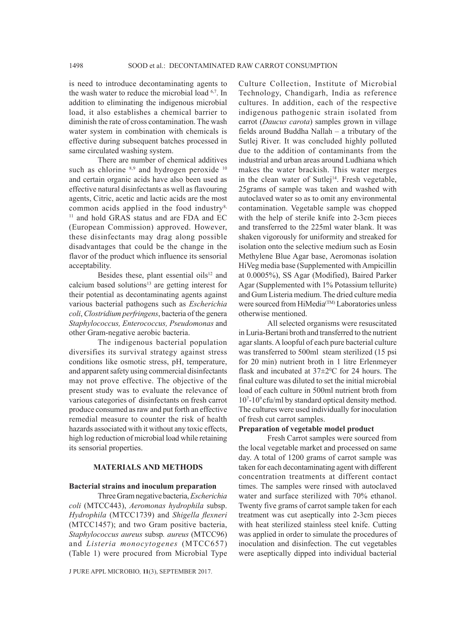is need to introduce decontaminating agents to the wash water to reduce the microbial load <sup>6,7</sup>. In addition to eliminating the indigenous microbial load, it also establishes a chemical barrier to diminish the rate of cross contamination. The wash water system in combination with chemicals is effective during subsequent batches processed in same circulated washing system.

There are number of chemical additives such as chlorine 8,9 and hydrogen peroxide 10 and certain organic acids have also been used as effective natural disinfectants as well as flavouring agents, Citric, acetic and lactic acids are the most common acids applied in the food industry<sup>8,</sup> <sup>11</sup> and hold GRAS status and are FDA and EC (European Commission) approved. However, these disinfectants may drag along possible disadvantages that could be the change in the flavor of the product which influence its sensorial acceptability.

Besides these, plant essential oils<sup>12</sup> and calcium based solutions<sup>13</sup> are getting interest for their potential as decontaminating agents against various bacterial pathogens such as *Escherichia coli*, *Clostridium perfringens*, bacteria of the genera *Staphylococcus, Enterococcus, Pseudomonas* and other Gram-negative aerobic bacteria.

The indigenous bacterial population diversifies its survival strategy against stress conditions like osmotic stress, pH, temperature, and apparent safety using commercial disinfectants may not prove effective. The objective of the present study was to evaluate the relevance of various categories of disinfectants on fresh carrot produce consumed as raw and put forth an effective remedial measure to counter the risk of health hazards associated with it without any toxic effects, high log reduction of microbial load while retaining its sensorial properties.

#### **MATERIALS AND METHODS**

#### **Bacterial strains and inoculum preparation**

Three Gram negative bacteria, *Escherichia coli* (MTCC443), *Aeromonas hydrophila* subsp. *Hydrophila* (MTCC1739) and *Shigella flexneri*  (MTCC1457); and two Gram positive bacteria, *Staphylococcus aureus* subsp*. aureus* (MTCC96) and *Listeria monocytogenes* (MTCC657) (Table 1) were procured from Microbial Type

J PURE APPL MICROBIO*,* **11**(3), SEPTEMBER 2017.

Culture Collection, Institute of Microbial Technology, Chandigarh, India as reference cultures. In addition, each of the respective indigenous pathogenic strain isolated from carrot (*Daucus carota*) samples grown in village fields around Buddha Nallah – a tributary of the Sutlej River. It was concluded highly polluted due to the addition of contaminants from the industrial and urban areas around Ludhiana which makes the water brackish. This water merges in the clean water of Sutlej<sup>14</sup>. Fresh vegetable, 25grams of sample was taken and washed with autoclaved water so as to omit any environmental contamination. Vegetable sample was chopped with the help of sterile knife into 2-3cm pieces and transferred to the 225ml water blank. It was shaken vigorously for uniformity and streaked for isolation onto the selective medium such as Eosin Methylene Blue Agar base, Aeromonas isolation HiVeg media base (Supplemented with Ampicillin at 0.0005%), SS Agar (Modified), Baired Parker Agar (Supplemented with 1% Potassium tellurite) and Gum Listeria medium. The dried culture media were sourced from HiMedia(TM) Laboratories unless otherwise mentioned.

All selected organisms were resuscitated in Luria-Bertani broth and transferred to the nutrient agar slants. A loopful of each pure bacterial culture was transferred to 500ml steam sterilized (15 psi for 20 min) nutrient broth in 1 litre Erlenmeyer flask and incubated at  $37\pm2\degree$ C for 24 hours. The final culture was diluted to set the initial microbial load of each culture in 500ml nutrient broth from 107 -109 cfu/ml by standard optical density method. The cultures were used individually for inoculation of fresh cut carrot samples.

#### **Preparation of vegetable model product**

Fresh Carrot samples were sourced from the local vegetable market and processed on same day. A total of 1200 grams of carrot sample was taken for each decontaminating agent with different concentration treatments at different contact times. The samples were rinsed with autoclaved water and surface sterilized with 70% ethanol. Twenty five grams of carrot sample taken for each treatment was cut aseptically into 2-3cm pieces with heat sterilized stainless steel knife. Cutting was applied in order to simulate the procedures of inoculation and disinfection. The cut vegetables were aseptically dipped into individual bacterial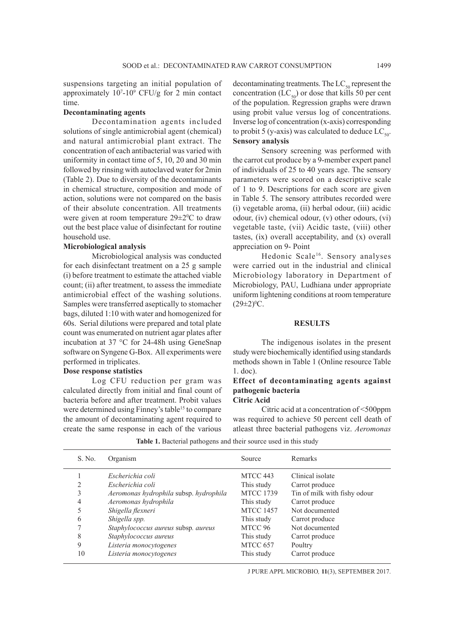suspensions targeting an initial population of approximately 107 -109 CFU/g for 2 min contact time.

# **Decontaminating agents**

Decontamination agents included solutions of single antimicrobial agent (chemical) and natural antimicrobial plant extract. The concentration of each antibacterial was varied with uniformity in contact time of 5, 10, 20 and 30 min followed by rinsing with autoclaved water for 2min (Table 2). Due to diversity of the decontaminants in chemical structure, composition and mode of action, solutions were not compared on the basis of their absolute concentration. All treatments were given at room temperature  $29 \pm 2^0$ C to draw out the best place value of disinfectant for routine household use.

#### **Microbiological analysis**

Microbiological analysis was conducted for each disinfectant treatment on a 25 g sample (i) before treatment to estimate the attached viable count; (ii) after treatment, to assess the immediate antimicrobial effect of the washing solutions. Samples were transferred aseptically to stomacher bags, diluted 1:10 with water and homogenized for 60s. Serial dilutions were prepared and total plate count was enumerated on nutrient agar plates after incubation at 37 °C for 24-48h using GeneSnap software on Syngene G-Box. All experiments were performed in triplicates.

#### **Dose response statistics**

Log CFU reduction per gram was calculated directly from initial and final count of bacteria before and after treatment. Probit values were determined using Finney's table<sup>15</sup> to compare the amount of decontaminating agent required to create the same response in each of the various decontaminating treatments. The  $LC_{50}$  represent the concentration  $(LC_{50})$  or dose that kills 50 per cent of the population. Regression graphs were drawn using probit value versus log of concentrations. Inverse log of concentration (x-axis) corresponding to probit 5 (y-axis) was calculated to deduce  $LC_{50}$ . **Sensory analysis**

Sensory screening was performed with the carrot cut produce by a 9-member expert panel of individuals of 25 to 40 years age. The sensory parameters were scored on a descriptive scale of 1 to 9. Descriptions for each score are given in Table 5. The sensory attributes recorded were (i) vegetable aroma, (ii) herbal odour, (iii) acidic odour, (iv) chemical odour, (v) other odours, (vi) vegetable taste, (vii) Acidic taste, (viii) other tastes, (ix) overall acceptability, and (x) overall appreciation on 9- Point

Hedonic Scale<sup>16</sup>. Sensory analyses were carried out in the industrial and clinical Microbiology laboratory in Department of Microbiology, PAU, Ludhiana under appropriate uniform lightening conditions at room temperature  $(29 \pm 2)^{0}$ C.

#### **RESULTS**

The indigenous isolates in the present study were biochemically identified using standards methods shown in Table 1 (Online resource Table 1. doc).

# **Effect of decontaminating agents against pathogenic bacteria Citric Acid**

Citric acid at a concentration of <500ppm was required to achieve 50 percent cell death of atleast three bacterial pathogens viz. *Aeromonas* 

Table 1. Bacterial pathogens and their source used in this study

| S. No. | Organism                               | Source           | Remarks                      |
|--------|----------------------------------------|------------------|------------------------------|
|        | Escherichia coli                       | MTCC 443         | Clinical isolate             |
| 2      | Escherichia coli                       | This study       | Carrot produce               |
| 3      | Aeromonas hydrophila subsp. hydrophila | <b>MTCC 1739</b> | Tin of milk with fishy odour |
| 4      | Aeromonas hydrophila                   | This study       | Carrot produce               |
| 5      | Shigella flexneri                      | <b>MTCC 1457</b> | Not documented               |
| 6      | Shigella spp.                          | This study       | Carrot produce               |
|        | Staphylococcus aureus subsp. aureus    | MTCC 96          | Not documented               |
| 8      | Staphylococcus aureus                  | This study       | Carrot produce               |
| 9      | Listeria monocytogenes                 | MTCC 657         | Poultry                      |
| 10     | Listeria monocytogenes                 | This study       | Carrot produce               |
|        |                                        |                  |                              |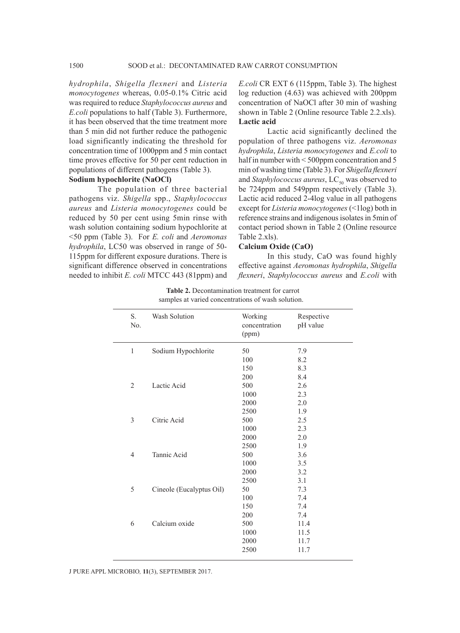*hydrophila*, *Shigella flexneri* and *Listeria monocytogenes* whereas, 0.05-0.1% Citric acid was required to reduce *Staphylococcus aureus* and *E.coli* populations to half (Table 3). Furthermore, it has been observed that the time treatment more than 5 min did not further reduce the pathogenic load significantly indicating the threshold for concentration time of 1000ppm and 5 min contact time proves effective for 50 per cent reduction in populations of different pathogens (Table 3). **Sodium hypochlorite (NaOCl)**

The population of three bacterial pathogens viz. *Shigella* spp., *Staphylococcus aureus* and *Listeria monocytogenes* could be reduced by 50 per cent using 5min rinse with wash solution containing sodium hypochlorite at <50 ppm (Table 3). For *E. coli* and *Aeromonas hydrophila*, LC50 was observed in range of 50- 115ppm for different exposure durations. There is significant difference observed in concentrations needed to inhibit *E. coli* MTCC 443 (81ppm) and

*E.coli* CR EXT 6 (115ppm, Table 3). The highest log reduction (4.63) was achieved with 200ppm concentration of NaOCl after 30 min of washing shown in Table 2 (Online resource Table 2.2.xls). **Lactic acid**

Lactic acid significantly declined the population of three pathogens viz. *Aeromonas hydrophila*, *Listeria monocytogenes* and *E.coli* to half in number with < 500ppm concentration and 5 min of washing time (Table 3). For *Shigella flexneri*  and *Staphylococcus aureus*, LC<sub>50</sub> was observed to be 724ppm and 549ppm respectively (Table 3). Lactic acid reduced 2-4log value in all pathogens except for *Listeria monocytogenes* (<1log) both in reference strains and indigenous isolates in 5min of contact period shown in Table 2 (Online resource Table 2.xls).

#### **Calcium Oxide (CaO)**

In this study, CaO was found highly effective against *Aeromonas hydrophila*, *Shigella flexneri*, *Staphylococcus aureus* and *E.coli* with

| S.<br>No.      | Wash Solution            | Working<br>concentration<br>(ppm) | Respective<br>pH value |
|----------------|--------------------------|-----------------------------------|------------------------|
| $\mathbf{1}$   | Sodium Hypochlorite      | 50                                | 7.9                    |
|                |                          | 100                               | 8.2                    |
|                |                          | 150                               | 8.3                    |
|                |                          | 200                               | 8.4                    |
| $\overline{2}$ | Lactic Acid              | 500                               | 2.6                    |
|                |                          | 1000                              | 2.3                    |
|                |                          | 2000                              | 2.0                    |
|                |                          | 2500                              | 1.9                    |
| 3              | Citric Acid              | 500                               | 2.5                    |
|                |                          | 1000                              | 2.3                    |
|                |                          | 2000                              | 2.0                    |
|                |                          | 2500                              | 1.9                    |
| 4              | Tannic Acid              | 500                               | 3.6                    |
|                |                          | 1000                              | 3.5                    |
|                |                          | 2000                              | 3.2                    |
|                |                          | 2500                              | 3.1                    |
| 5              | Cineole (Eucalyptus Oil) | 50                                | 7.3                    |
|                |                          | 100                               | 7.4                    |
|                |                          | 150                               | 7.4                    |
|                |                          | 200                               | 7.4                    |
| 6              | Calcium oxide            | 500                               | 11.4                   |
|                |                          | 1000                              | 11.5                   |
|                |                          | 2000                              | 11.7                   |
|                |                          | 2500                              | 11.7                   |
|                |                          |                                   |                        |

**Table 2.** Decontamination treatment for carrot samples at varied concentrations of wash solution.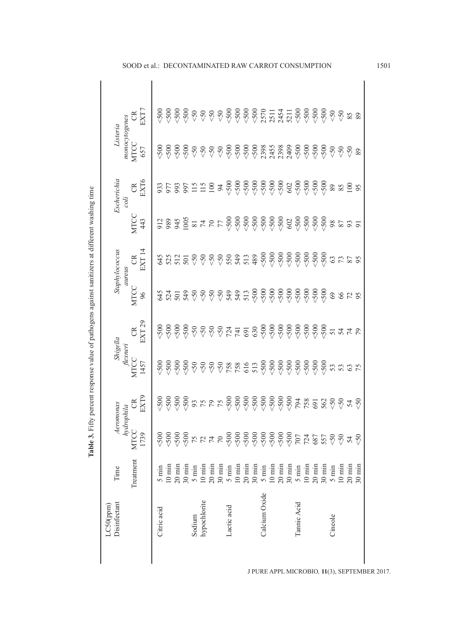| nydrophila<br>MTCC<br>1-<br>1739<br>$\begin{array}{l} 500 \\ 500 \\ 750 \\ \hline \end{array}$<br>$<$ 500<br>Treatment<br>$10 \text{ min}$<br>$20 \text{ min}$<br>$10 \text{ min}$<br>$20 \text{ min}$<br>$30 \text{ min}$<br>$10 \text{ min}$<br>$30 \text{ min}$<br>$30 \text{ min}$<br>$10 \text{ min}$<br>$20 \text{ min}$<br>$30 \text{ min}$<br>$10 \text{ min}$<br>$20 \text{ min}$<br>$5 \text{ min}$<br>$5 \text{ min}$<br>$5 \text{ min}$<br>$5 \text{ min}$<br>$5 \text{ min}$<br>Calcium Oxide | CR<br>EXT9<br>$\begin{array}{l} \mathfrak{S} \mathfrak{S} \mathfrak{S} \mathfrak{S} \mathfrak{S} \mathfrak{S} \mathfrak{S} \mathfrak{S} \mathfrak{S} \mathfrak{S} \mathfrak{S} \mathfrak{S} \mathfrak{S} \mathfrak{S} \mathfrak{S} \mathfrak{S} \mathfrak{S} \mathfrak{S} \mathfrak{S} \mathfrak{S} \mathfrak{S} \mathfrak{S} \mathfrak{S} \mathfrak{S} \mathfrak{S} \mathfrak{S} \mathfrak{S} \mathfrak{S} \mathfrak{S} \mathfrak{S} \mathfr$ | Shigella<br>flexneri<br><b>MTCC</b><br>1457 | EXT <sub>29</sub><br>$\approx$ | <b>MTCC</b><br>96 | aureus                                                                                                                                                                                                                                                                                                                                                                                                                                    |                                                                                                                                                                                                                                                                                                                            |                                |                                     |             |
|------------------------------------------------------------------------------------------------------------------------------------------------------------------------------------------------------------------------------------------------------------------------------------------------------------------------------------------------------------------------------------------------------------------------------------------------------------------------------------------------------------|------------------------------------------------------------------------------------------------------------------------------------------------------------------------------------------------------------------------------------------------------------------------------------------------------------------------------------------------------------------------------------------------------------------------------------------------|---------------------------------------------|--------------------------------|-------------------|-------------------------------------------------------------------------------------------------------------------------------------------------------------------------------------------------------------------------------------------------------------------------------------------------------------------------------------------------------------------------------------------------------------------------------------------|----------------------------------------------------------------------------------------------------------------------------------------------------------------------------------------------------------------------------------------------------------------------------------------------------------------------------|--------------------------------|-------------------------------------|-------------|
|                                                                                                                                                                                                                                                                                                                                                                                                                                                                                                            |                                                                                                                                                                                                                                                                                                                                                                                                                                                |                                             |                                |                   | CR<br>EXT 14                                                                                                                                                                                                                                                                                                                                                                                                                              | <b>MTCC</b><br>443                                                                                                                                                                                                                                                                                                         | EXT6<br>$\mathfrak{S}$<br>coli | monocytogenes<br><b>MTCC</b><br>657 | CR<br>EXT7  |
|                                                                                                                                                                                                                                                                                                                                                                                                                                                                                                            |                                                                                                                                                                                                                                                                                                                                                                                                                                                |                                             |                                |                   |                                                                                                                                                                                                                                                                                                                                                                                                                                           |                                                                                                                                                                                                                                                                                                                            |                                |                                     |             |
|                                                                                                                                                                                                                                                                                                                                                                                                                                                                                                            |                                                                                                                                                                                                                                                                                                                                                                                                                                                |                                             |                                | 335390000         | $\begin{array}{cccccccccc} \mathfrak{F}\; \mathfrak{B}\; \mathfrak{S}\; \mathfrak{S}\; \mathfrak{S}\; \mathfrak{S}\; \mathfrak{S}\; \mathfrak{S}\; \mathfrak{S}\; \mathfrak{S}\; \mathfrak{S}\; \mathfrak{S}\; \mathfrak{S}\; \mathfrak{S}\; \mathfrak{S}\; \mathfrak{S}\; \mathfrak{S}\; \mathfrak{S}\; \mathfrak{S}\; \mathfrak{S}\; \mathfrak{S}\; \mathfrak{S}\; \mathfrak{S}\; \mathfrak{S}\; \mathfrak{S}\; \mathfrak{S}\; \mathfr$ | $\begin{array}{l} \Xi \otimes \mathcal{Z} \otimes \mathcal{Z} \otimes \mathcal{Z} \otimes \mathcal{Z} \otimes \mathcal{Z} \otimes \mathcal{Z} \otimes \mathcal{Z} \otimes \mathcal{Z} \otimes \mathcal{Z} \otimes \mathcal{Z} \otimes \mathcal{Z} \otimes \mathcal{Z} \otimes \mathcal{Z} \otimes \mathcal{Z} \end{array}$ |                                | $\frac{500}{500}$                   |             |
|                                                                                                                                                                                                                                                                                                                                                                                                                                                                                                            |                                                                                                                                                                                                                                                                                                                                                                                                                                                |                                             |                                |                   |                                                                                                                                                                                                                                                                                                                                                                                                                                           |                                                                                                                                                                                                                                                                                                                            |                                |                                     |             |
|                                                                                                                                                                                                                                                                                                                                                                                                                                                                                                            |                                                                                                                                                                                                                                                                                                                                                                                                                                                |                                             |                                |                   |                                                                                                                                                                                                                                                                                                                                                                                                                                           |                                                                                                                                                                                                                                                                                                                            |                                |                                     |             |
|                                                                                                                                                                                                                                                                                                                                                                                                                                                                                                            |                                                                                                                                                                                                                                                                                                                                                                                                                                                |                                             |                                |                   |                                                                                                                                                                                                                                                                                                                                                                                                                                           |                                                                                                                                                                                                                                                                                                                            |                                | $-500$                              |             |
|                                                                                                                                                                                                                                                                                                                                                                                                                                                                                                            |                                                                                                                                                                                                                                                                                                                                                                                                                                                |                                             |                                |                   |                                                                                                                                                                                                                                                                                                                                                                                                                                           |                                                                                                                                                                                                                                                                                                                            |                                | &0                                  |             |
|                                                                                                                                                                                                                                                                                                                                                                                                                                                                                                            |                                                                                                                                                                                                                                                                                                                                                                                                                                                |                                             |                                |                   |                                                                                                                                                                                                                                                                                                                                                                                                                                           |                                                                                                                                                                                                                                                                                                                            |                                | $<\!50$                             |             |
|                                                                                                                                                                                                                                                                                                                                                                                                                                                                                                            |                                                                                                                                                                                                                                                                                                                                                                                                                                                |                                             |                                |                   |                                                                                                                                                                                                                                                                                                                                                                                                                                           |                                                                                                                                                                                                                                                                                                                            | $\overline{6}$                 | $<\!50$                             |             |
|                                                                                                                                                                                                                                                                                                                                                                                                                                                                                                            |                                                                                                                                                                                                                                                                                                                                                                                                                                                |                                             |                                |                   |                                                                                                                                                                                                                                                                                                                                                                                                                                           |                                                                                                                                                                                                                                                                                                                            |                                |                                     |             |
|                                                                                                                                                                                                                                                                                                                                                                                                                                                                                                            |                                                                                                                                                                                                                                                                                                                                                                                                                                                |                                             |                                |                   |                                                                                                                                                                                                                                                                                                                                                                                                                                           |                                                                                                                                                                                                                                                                                                                            |                                |                                     |             |
|                                                                                                                                                                                                                                                                                                                                                                                                                                                                                                            |                                                                                                                                                                                                                                                                                                                                                                                                                                                |                                             | $724$<br>$741$<br>$691$        | $349$<br>$542$    |                                                                                                                                                                                                                                                                                                                                                                                                                                           |                                                                                                                                                                                                                                                                                                                            |                                |                                     |             |
|                                                                                                                                                                                                                                                                                                                                                                                                                                                                                                            |                                                                                                                                                                                                                                                                                                                                                                                                                                                |                                             |                                |                   |                                                                                                                                                                                                                                                                                                                                                                                                                                           |                                                                                                                                                                                                                                                                                                                            |                                |                                     |             |
|                                                                                                                                                                                                                                                                                                                                                                                                                                                                                                            |                                                                                                                                                                                                                                                                                                                                                                                                                                                |                                             |                                |                   |                                                                                                                                                                                                                                                                                                                                                                                                                                           |                                                                                                                                                                                                                                                                                                                            |                                |                                     |             |
|                                                                                                                                                                                                                                                                                                                                                                                                                                                                                                            |                                                                                                                                                                                                                                                                                                                                                                                                                                                |                                             |                                |                   |                                                                                                                                                                                                                                                                                                                                                                                                                                           |                                                                                                                                                                                                                                                                                                                            |                                |                                     |             |
|                                                                                                                                                                                                                                                                                                                                                                                                                                                                                                            |                                                                                                                                                                                                                                                                                                                                                                                                                                                |                                             |                                |                   |                                                                                                                                                                                                                                                                                                                                                                                                                                           |                                                                                                                                                                                                                                                                                                                            |                                |                                     |             |
|                                                                                                                                                                                                                                                                                                                                                                                                                                                                                                            |                                                                                                                                                                                                                                                                                                                                                                                                                                                |                                             |                                |                   |                                                                                                                                                                                                                                                                                                                                                                                                                                           |                                                                                                                                                                                                                                                                                                                            | 602                            |                                     |             |
|                                                                                                                                                                                                                                                                                                                                                                                                                                                                                                            |                                                                                                                                                                                                                                                                                                                                                                                                                                                |                                             |                                |                   |                                                                                                                                                                                                                                                                                                                                                                                                                                           |                                                                                                                                                                                                                                                                                                                            | $$500$<br>$$700$               |                                     |             |
|                                                                                                                                                                                                                                                                                                                                                                                                                                                                                                            |                                                                                                                                                                                                                                                                                                                                                                                                                                                |                                             |                                |                   |                                                                                                                                                                                                                                                                                                                                                                                                                                           |                                                                                                                                                                                                                                                                                                                            |                                |                                     |             |
| $20 \text{ min}$                                                                                                                                                                                                                                                                                                                                                                                                                                                                                           |                                                                                                                                                                                                                                                                                                                                                                                                                                                |                                             |                                |                   |                                                                                                                                                                                                                                                                                                                                                                                                                                           |                                                                                                                                                                                                                                                                                                                            |                                |                                     |             |
| $30 \text{ min}$                                                                                                                                                                                                                                                                                                                                                                                                                                                                                           |                                                                                                                                                                                                                                                                                                                                                                                                                                                |                                             |                                |                   |                                                                                                                                                                                                                                                                                                                                                                                                                                           |                                                                                                                                                                                                                                                                                                                            |                                |                                     |             |
| $5 \text{ min}$                                                                                                                                                                                                                                                                                                                                                                                                                                                                                            |                                                                                                                                                                                                                                                                                                                                                                                                                                                |                                             |                                |                   |                                                                                                                                                                                                                                                                                                                                                                                                                                           |                                                                                                                                                                                                                                                                                                                            | $\, 89$                        | $<\!50$                             |             |
| $10 \text{ min}$                                                                                                                                                                                                                                                                                                                                                                                                                                                                                           |                                                                                                                                                                                                                                                                                                                                                                                                                                                |                                             | 54                             | 3825              | 3785                                                                                                                                                                                                                                                                                                                                                                                                                                      |                                                                                                                                                                                                                                                                                                                            | $85\,$                         | $\leq 50$                           | $\sqrt{50}$ |
| 24<br>$20 \text{ min}$                                                                                                                                                                                                                                                                                                                                                                                                                                                                                     |                                                                                                                                                                                                                                                                                                                                                                                                                                                |                                             |                                |                   |                                                                                                                                                                                                                                                                                                                                                                                                                                           |                                                                                                                                                                                                                                                                                                                            | 100                            | $\leqslant 50$                      | $85$        |
| $\leqslant 50$<br>$30 \text{ min}$                                                                                                                                                                                                                                                                                                                                                                                                                                                                         |                                                                                                                                                                                                                                                                                                                                                                                                                                                |                                             | 79                             |                   |                                                                                                                                                                                                                                                                                                                                                                                                                                           |                                                                                                                                                                                                                                                                                                                            | 95                             | 89                                  | 89          |

Table 3. Fifty percent response value of pathogens against sanitizers at different washing time **Table 3.** Fifty percent response value of pathogens against sanitizers at different washing time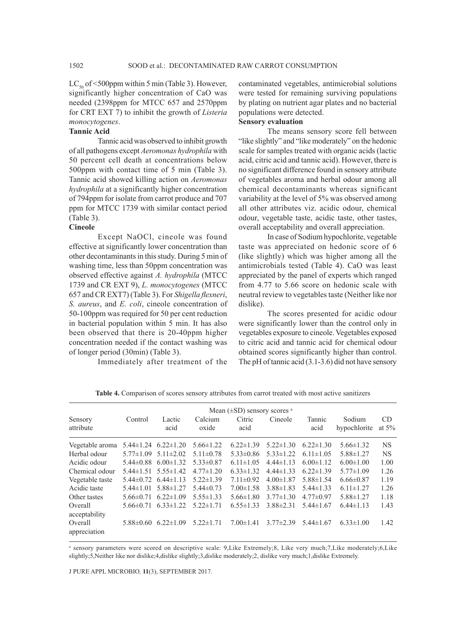$LC_{\rm so}$  of <500ppm within 5 min (Table 3). However, significantly higher concentration of CaO was needed (2398ppm for MTCC 657 and 2570ppm for CRT EXT 7) to inhibit the growth of *Listeria monocytogenes*.

# **Tannic Acid**

Tannic acid was observed to inhibit growth of all pathogens except *Aeromonas hydrophila* with 50 percent cell death at concentrations below 500ppm with contact time of 5 min (Table 3). Tannic acid showed killing action on *Aeromonas hydrophila* at a significantly higher concentration of 794ppm for isolate from carrot produce and 707 ppm for MTCC 1739 with similar contact period (Table 3).

#### **Cineole**

Except NaOCl, cineole was found effective at significantly lower concentration than other decontaminants in this study. During 5 min of washing time, less than 50ppm concentration was observed effective against *A. hydrophila* (MTCC 1739 and CR EXT 9), *L. monocytogenes* (MTCC 657 and CR EXT7) (Table 3). For *Shigella flexneri*, *S. aureus*, and *E. coli*, cineole concentration of 50-100ppm was required for 50 per cent reduction in bacterial population within 5 min. It has also been observed that there is 20-40ppm higher concentration needed if the contact washing was of longer period (30min) (Table 3).

Immediately after treatment of the

contaminated vegetables, antimicrobial solutions were tested for remaining surviving populations by plating on nutrient agar plates and no bacterial populations were detected.

#### **Sensory evaluation**

The means sensory score fell between "like slightly" and "like moderately" on the hedonic scale for samples treated with organic acids (lactic acid, citric acid and tannic acid). However, there is no significant difference found in sensory attribute of vegetables aroma and herbal odour among all chemical decontaminants whereas significant variability at the level of 5% was observed among all other attributes viz. acidic odour, chemical odour, vegetable taste, acidic taste, other tastes, overall acceptability and overall appreciation.

In case of Sodium hypochlorite, vegetable taste was appreciated on hedonic score of 6 (like slightly) which was higher among all the antimicrobials tested (Table 4). CaO was least appreciated by the panel of experts which ranged from 4.77 to 5.66 score on hedonic scale with neutral review to vegetables taste (Neither like nor dislike).

The scores presented for acidic odour were significantly lower than the control only in vegetables exposure to cineole. Vegetables exposed to citric acid and tannic acid for chemical odour obtained scores significantly higher than control. The pH of tannic acid (3.1-3.6) did not have sensory

|                          | Mean $(\pm SD)$ sensory scores $a$ |                                 |                 |                 |                 |                 |                 |           |
|--------------------------|------------------------------------|---------------------------------|-----------------|-----------------|-----------------|-----------------|-----------------|-----------|
| Sensory                  | Control                            | Lactic                          | Calcium         | Citric          | Cineole         | Tannic          | Sodium          | CD.       |
| attribute                |                                    | acid                            | oxide           | acid            |                 | acid            | hypochlorite    | at $5\%$  |
| Vegetable aroma          | $5.44 \pm 1.24$                    | $6.22 \pm 1.20$                 | $5.66 \pm 1.22$ | $6.22 \pm 1.39$ | $5.22 \pm 1.30$ | $6.22 \pm 1.30$ | $5.66 \pm 1.32$ | <b>NS</b> |
| Herbal odour             | $5.77 \pm 1.09$                    | $5.11 \pm 2.02$                 | $5.11 \pm 0.78$ | $5.33 \pm 0.86$ | $5.33 \pm 1.22$ | $6.11 \pm 1.05$ | $5.88 \pm 1.27$ | <b>NS</b> |
| Acidic odour             |                                    | $5.44\pm0.88$ 6.00 $\pm1.32$    | $5.33 \pm 0.87$ | $6.11 \pm 1.05$ | $4.44 \pm 1.13$ | $6.00 \pm 1.12$ | $6.00 \pm 1.00$ | 1.00      |
| Chemical odour           |                                    | $5.44 \pm 1.51$ $5.55 \pm 1.42$ | $4.77 \pm 1.20$ | $6.33 \pm 1.32$ | $4.44\pm1.33$   | $6.22 \pm 1.39$ | $5.77 \pm 1.09$ | 1.26      |
| Vegetable taste          |                                    | $5.44\pm0.72$ 6.44 $\pm1.13$    | $5.22 \pm 1.39$ | $7.11 \pm 0.92$ | $4.00 \pm 1.87$ | $5.88 \pm 1.54$ | $6.66 \pm 0.87$ | 1.19      |
| Acidic taste             | $5.44 \pm 1.01$                    | $5.88 \pm 1.27$                 | $5.44\pm 0.73$  | $7.00 \pm 1.58$ | $3.88 \pm 1.83$ | $5.44 \pm 1.33$ | $6.11 \pm 1.27$ | 1.26      |
| Other tastes             | $5.66 \pm 0.71$                    | $6.22 \pm 1.09$                 | $5.55 \pm 1.33$ | $5.66 \pm 1.80$ | $3.77 \pm 1.30$ | $4.77 \pm 0.97$ | $5.88 \pm 1.27$ | 1.18      |
| Overall<br>acceptability | $5.66\pm0.71$                      | $6.33 \pm 1.22$                 | $5.22 \pm 1.71$ | $6.55 \pm 1.33$ | $3.88 \pm 2.31$ | $5.44 \pm 1.67$ | $6.44 \pm 1.13$ | 1.43      |
| Overall<br>appreciation  | $5.88\pm0.60$                      | $6.22 \pm 1.09$                 | $5.22 \pm 1.71$ | $7.00 \pm 1.41$ | $3.77 \pm 2.39$ | $5.44 \pm 1.67$ | $6.33 \pm 1.00$ | 1.42      |

**Table 4.** Comparison of scores sensory attributes from carrot treated with most active sanitizers

 a sensory parameters were scored on descriptive scale: 9,Like Extremely;8, Like very much;7,Like moderately;6,Like slightly;5,Neither like nor dislike;4,dislike slightly;3,dislike moderately;2, dislike very much;1,dislike Extremely.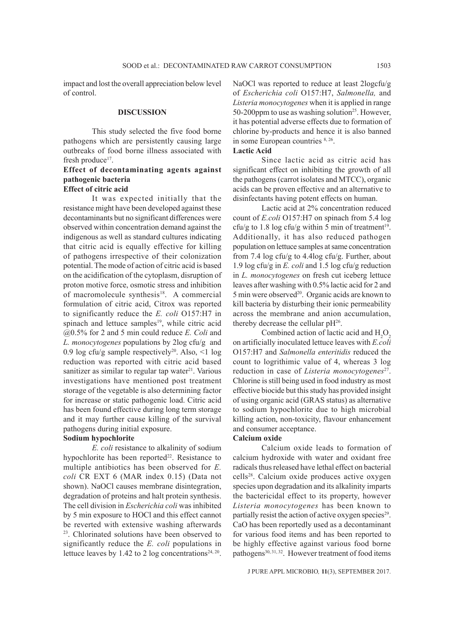impact and lost the overall appreciation below level of control.

#### **DISCUSSION**

This study selected the five food borne pathogens which are persistently causing large outbreaks of food borne illness associated with fresh produce<sup>17</sup>.

# **Effect of decontaminating agents against pathogenic bacteria Effect of citric acid**

It was expected initially that the resistance might have been developed against these decontaminants but no significant differences were observed within concentration demand against the indigenous as well as standard cultures indicating that citric acid is equally effective for killing of pathogens irrespective of their colonization potential. The mode of action of citric acid is based on the acidification of the cytoplasm, disruption of proton motive force, osmotic stress and inhibition of macromolecule synthesis<sup>18</sup>. A commercial formulation of citric acid, Citrox was reported to significantly reduce the *E. coli* O157:H7 in spinach and lettuce samples<sup>19</sup>, while citric acid @0.5% for 2 and 5 min could reduce *E. Coli* and *L. monocytogenes* populations by 2log cfu/g and 0.9 log cfu/g sample respectively20. Also, <1 log reduction was reported with citric acid based sanitizer as similar to regular tap water $21$ . Various investigations have mentioned post treatment storage of the vegetable is also determining factor for increase or static pathogenic load. Citric acid has been found effective during long term storage and it may further cause killing of the survival pathogens during initial exposure.

### **Sodium hypochlorite**

*E. coli* resistance to alkalinity of sodium hypochlorite has been reported<sup>22</sup>. Resistance to multiple antibiotics has been observed for *E. coli* CR EXT 6 (MAR index 0.15) (Data not shown). NaOCl causes membrane disintegration, degradation of proteins and halt protein synthesis. The cell division in *Escherichia coli* was inhibited by 5 min exposure to HOCl and this effect cannot be reverted with extensive washing afterwards 23. Chlorinated solutions have been observed to significantly reduce the *E. coli* populations in lettuce leaves by 1.42 to 2 log concentrations<sup>24, 20</sup>.

NaOCl was reported to reduce at least 2logcfu/g of *Escherichia coli* O157:H7, *Salmonella,* and *Listeria monocytogenes* when it is applied in range 50-200ppm to use as washing solution<sup>25</sup>. However, it has potential adverse effects due to formation of chlorine by-products and hence it is also banned in some European countries 8, 26.

# **Lactic Acid**

Since lactic acid as citric acid has significant effect on inhibiting the growth of all the pathogens (carrot isolates and MTCC), organic acids can be proven effective and an alternative to disinfectants having potent effects on human.

Lactic acid at 2% concentration reduced count of *E.coli* O157:H7 on spinach from 5.4 log cfu/g to 1.8 log cfu/g within 5 min of treatment<sup>19</sup>. Additionally, it has also reduced pathogen population on lettuce samples at same concentration from 7.4 log cfu/g to 4.4log cfu/g. Further, about 1.9 log cfu/g in *E. coli* and 1.5 log cfu/g reduction in *L. monocytogenes* on fresh cut iceberg lettuce leaves after washing with 0.5% lactic acid for 2 and 5 min were observed<sup>20</sup>. Organic acids are known to kill bacteria by disturbing their ionic permeability across the membrane and anion accumulation, thereby decrease the cellular  $pH<sup>26</sup>$ .

Combined action of lactic acid and  $H_2O_2$ on artificially inoculated lettuce leaves with *E.coli* O157:H7 and *Salmonella enteritidis* reduced the count to logrithimic value of 4, whereas 3 log reduction in case of *Listeria monocytogenes*<sup>27</sup>. Chlorine is still being used in food industry as most effective biocide but this study has provided insight of using organic acid (GRAS status) as alternative to sodium hypochlorite due to high microbial killing action, non-toxicity, flavour enhancement and consumer acceptance.

#### **Calcium oxide**

Calcium oxide leads to formation of calcium hydroxide with water and oxidant free radicals thus released have lethal effect on bacterial cells28. Calcium oxide produces active oxygen species upon degradation and its alkalinity imparts the bactericidal effect to its property, however *Listeria monocytogenes* has been known to partially resist the action of active oxygen species<sup>29</sup>. CaO has been reportedly used as a decontaminant for various food items and has been reported to be highly effective against various food borne pathogens<sup>30, 31, 32</sup>. However treatment of food items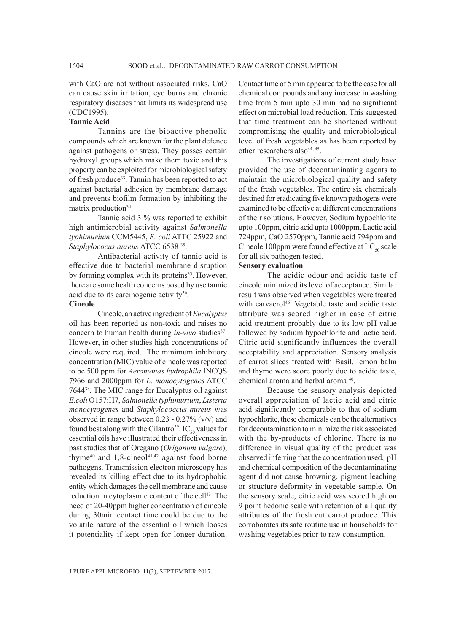with CaO are not without associated risks. CaO can cause skin irritation, eye burns and chronic respiratory diseases that limits its widespread use (CDC1995).

#### **Tannic Acid**

Tannins are the bioactive phenolic compounds which are known for the plant defence against pathogens or stress. They posses certain hydroxyl groups which make them toxic and this property can be exploited for microbiological safety of fresh produce<sup>33</sup>. Tannin has been reported to act against bacterial adhesion by membrane damage and prevents biofilm formation by inhibiting the matrix production<sup>34</sup>.

Tannic acid 3 % was reported to exhibit high antimicrobial activity against *Salmonella typhimurium* CCM5445, *E. coli* ATTC 25922 and *Staphylococus aureus* ATCC 6538 35.

Antibacterial activity of tannic acid is effective due to bacterial membrane disruption by forming complex with its proteins<sup>33</sup>. However, there are some health concerns posed by use tannic acid due to its carcinogenic activity<sup>36</sup>.

# **Cineole**

Cineole, an active ingredient of *Eucalyptus* oil has been reported as non-toxic and raises no concern to human health during *in-vivo* studies<sup>37</sup>. However, in other studies high concentrations of cineole were required. The minimum inhibitory concentration (MIC) value of cineole was reported to be 500 ppm for *Aeromonas hydrophila* INCQS 7966 and 2000ppm for *L. monocytogenes* ATCC 764438. The MIC range for Eucalyptus oil against *E.coli* O157:H7, *Salmonella typhimurium*, *Listeria monocytogenes* and *Staphylococcus aureus* was observed in range between  $0.23 - 0.27\%$  (v/v) and found best along with the Cilantro<sup>39</sup>. IC<sub>50</sub> values for essential oils have illustrated their effectiveness in past studies that of Oregano (*Origanum vulgare*), thyme $40$  and  $1,8$ -cineo $141,42$  against food borne pathogens. Transmission electron microscopy has revealed its killing effect due to its hydrophobic entity which damages the cell membrane and cause reduction in cytoplasmic content of the cell<sup>43</sup>. The need of 20-40ppm higher concentration of cineole during 30min contact time could be due to the volatile nature of the essential oil which looses it potentiality if kept open for longer duration.

Contact time of 5 min appeared to be the case for all chemical compounds and any increase in washing time from 5 min upto 30 min had no significant effect on microbial load reduction. This suggested that time treatment can be shortened without compromising the quality and microbiological level of fresh vegetables as has been reported by other researchers also<sup>44, 45</sup>.

The investigations of current study have provided the use of decontaminating agents to maintain the microbiological quality and safety of the fresh vegetables. The entire six chemicals destined for eradicating five known pathogens were examined to be effective at different concentrations of their solutions. However, Sodium hypochlorite upto 100ppm, citric acid upto 1000ppm, Lactic acid 724ppm, CaO 2570ppm, Tannic acid 794ppm and Cineole 100ppm were found effective at  $LC_{50}$  scale for all six pathogen tested.

#### **Sensory evaluation**

The acidic odour and acidic taste of cineole minimized its level of acceptance. Similar result was observed when vegetables were treated with carvacrol<sup>46</sup>. Vegetable taste and acidic taste attribute was scored higher in case of citric acid treatment probably due to its low pH value followed by sodium hypochlorite and lactic acid. Citric acid significantly influences the overall acceptability and appreciation. Sensory analysis of carrot slices treated with Basil, lemon balm and thyme were score poorly due to acidic taste, chemical aroma and herbal aroma 40.

Because the sensory analysis depicted overall appreciation of lactic acid and citric acid significantly comparable to that of sodium hypochlorite, these chemicals can be the alternatives for decontamination to minimize the risk associated with the by-products of chlorine. There is no difference in visual quality of the product was observed inferring that the concentration used, pH and chemical composition of the decontaminating agent did not cause browning, pigment leaching or structure deformity in vegetable sample. On the sensory scale, citric acid was scored high on 9 point hedonic scale with retention of all quality attributes of the fresh cut carrot produce. This corroborates its safe routine use in households for washing vegetables prior to raw consumption.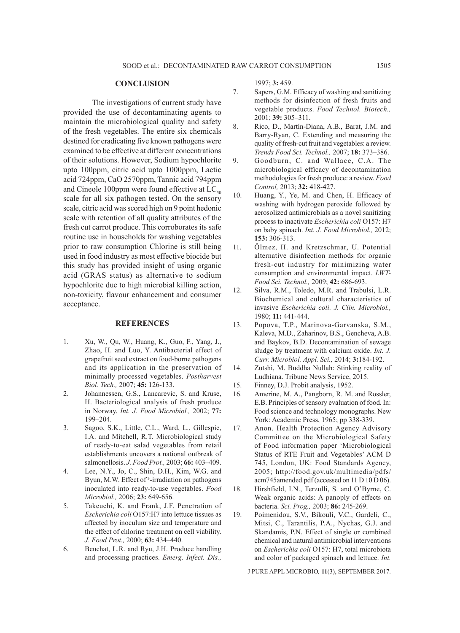#### **CONCLUSION**

The investigations of current study have provided the use of decontaminating agents to maintain the microbiological quality and safety of the fresh vegetables. The entire six chemicals destined for eradicating five known pathogens were examined to be effective at different concentrations of their solutions. However, Sodium hypochlorite upto 100ppm, citric acid upto 1000ppm, Lactic acid 724ppm, CaO 2570ppm, Tannic acid 794ppm and Cineole 100ppm were found effective at  $LC_{50}$ scale for all six pathogen tested. On the sensory scale, citric acid was scored high on 9 point hedonic scale with retention of all quality attributes of the fresh cut carrot produce. This corroborates its safe routine use in households for washing vegetables prior to raw consumption Chlorine is still being used in food industry as most effective biocide but this study has provided insight of using organic acid (GRAS status) as alternative to sodium hypochlorite due to high microbial killing action, non-toxicity, flavour enhancement and consumer acceptance.

#### **REFERENCES**

- 1. Xu, W., Qu, W., Huang, K., Guo, F., Yang, J., Zhao, H. and Luo, Y. Antibacterial effect of grapefruit seed extract on food-borne pathogens and its application in the preservation of minimally processed vegetables. *Postharvest Biol. Tech.,* 2007; **45:** 126-133.
- 2. Johannessen, G.S., Lancarevic, S. and Kruse, H. Bacteriological analysis of fresh produce in Norway. *Int. J. Food Microbiol.,* 2002; **77:** 199–204.
- 3. Sagoo, S.K., Little, C.L., Ward, L., Gillespie, I.A. and Mitchell, R.T. Microbiological study of ready-to-eat salad vegetables from retail establishments uncovers a national outbreak of salmonellosis. *J. Food Prot.,* 2003; **66:** 403–409.
- 4. Lee, N.Y., Jo, C., Shin, D.H., Kim, W.G. and Byun, M.W. Effect of <sup>3</sup>-irradiation on pathogens inoculated into ready-to-use vegetables. *Food Microbiol.,* 2006; **23:** 649-656.
- 5. Takeuchi, K. and Frank, J.F. Penetration of *Escherichia coli* O157:H7 into lettuce tissues as affected by inoculum size and temperature and the effect of chlorine treatment on cell viability. *J. Food Prot.,* 2000; **63:** 434–440.
- 6. Beuchat, L.R. and Ryu, J.H. Produce handling and processing practices. *Emerg. Infect. Dis.,*

1997; **3:** 459.

- 7. Sapers, G.M. Efficacy of washing and sanitizing methods for disinfection of fresh fruits and vegetable products. *Food Technol. Biotech.,* 2001; **39:** 305–311.
- 8. Rico, D., Martín-Diana, A.B., Barat, J.M. and Barry-Ryan, C. Extending and measuring the quality of fresh-cut fruit and vegetables: a review. *Trends Food Sci. Technol.,* 2007; **18:** 373–386.
- 9. Goodburn, C. and Wallace, C.A. The microbiological efficacy of decontamination methodologies for fresh produce: a review. *Food Control,* 2013; **32:** 418-427.
- 10. Huang, Y., Ye, M. and Chen, H. Efficacy of washing with hydrogen peroxide followed by aerosolized antimicrobials as a novel sanitizing process to inactivate *Escherichia coli* O157: H7 on baby spinach. *Int. J. Food Microbiol.,* 2012; **153:** 306-313.
- 11. Ölmez, H. and Kretzschmar, U. Potential alternative disinfection methods for organic fresh-cut industry for minimizing water consumption and environmental impact. *LWT-Food Sci. Technol.,* 2009; **42:** 686-693.
- 12. Silva, R.M., Toledo, M.R. and Trabulsi, L.R. Biochemical and cultural characteristics of invasive *Escherichia coli. J. Clin. Microbiol.,* 1980; **11:** 441-444.
- 13. Popova, T.P., Marinova-Garvanska, S.M., Kaleva, M.D., Zaharinov, B.S., Gencheva, A.B. and Baykov, B.D. Decontamination of sewage sludge by treatment with calcium oxide. *Int. J. Curr. Microbiol. Appl. Sci.,* 2014; **3:**184-192.
- 14. Zutshi, M. Buddha Nullah: Stinking reality of Ludhiana. Tribune News Service, 2015.
- 15. Finney, D.J. Probit analysis, 1952.
- 16. Amerine, M. A., Pangborn, R. M. and Rossler, E.B. Principles of sensory evaluation of food. In: Food science and technology monographs. New York: Academic Press, 1965; pp 338-339.
- 17. Anon. Health Protection Agency Advisory Committee on the Microbiological Safety of Food information paper 'Microbiological Status of RTE Fruit and Vegetables' ACM D 745, London, UK: Food Standards Agency, 2005; http://food.gov.uk/multimedia/pdfs/ acm745amended.pdf (accessed on 11 D 10 D 06).
- 18. Hirshfield, I.N., Terzulli, S. and O'Byrne, C. Weak organic acids: A panoply of effects on bacteria. *Sci. Prog.,* 2003; **86:** 245-269.
- 19. Poimenidou, S.V., Bikouli, V.C., Gardeli, C., Mitsi, C., Tarantilis, P.A., Nychas, G.J. and Skandamis, P.N. Effect of single or combined chemical and natural antimicrobial interventions on *Escherichia coli* O157: H7, total microbiota and color of packaged spinach and lettuce. *Int.*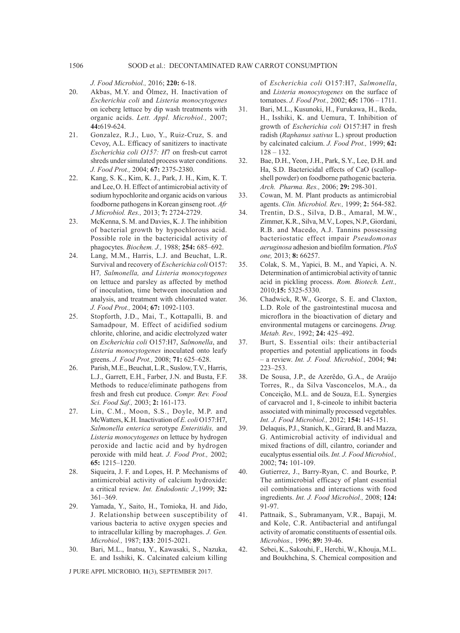*J. Food Microbiol.,* 2016; **220:** 6-18.

- 20. Akbas, M.Y. and Ölmez, H. Inactivation of *Escherichia coli* and *Listeria monocytogenes* on iceberg lettuce by dip wash treatments with organic acids. *Lett. Appl. Microbiol.,* 2007; **44:**619-624.
- 21. Gonzalez, R.J., Luo, Y., Ruiz-Cruz, S. and Cevoy, A.L. Efficacy of sanitizers to inactivate *Escherichia coli O157: H*7 on fresh-cut carrot shreds under simulated process water conditions. *J. Food Prot.,* 2004; **67:** 2375-2380.
- 22. Kang, S. K., Kim, K. J., Park, J. H., Kim, K. T. and Lee,O. H. Effect of antimicrobial activity of sodium hypochlorite and organic acids on various foodborne pathogens in Korean ginseng root. *Afr J Microbiol. Res.,* 2013; **7:** 2724-2729.
- 23. McKenna, S. M. and Davies, K. J. The inhibition of bacterial growth by hypochlorous acid. Possible role in the bactericidal activity of phagocytes. *Biochem. J.,* 1988; **254:** 685–692.
- 24. Lang, M.M., Harris, L.J. and Beuchat, L.R. Survival and recovery of *Escherichia coli* O157: H7*, Salmonella, and Listeria monocytogenes*  on lettuce and parsley as affected by method of inoculation, time between inoculation and analysis, and treatment with chlorinated water. *J. Food Prot.,* 2004; **67:** 1092-1103.
- 25. Stopforth, J.D., Mai, T., Kottapalli, B. and Samadpour, M. Effect of acidified sodium chlorite, chlorine, and acidic electrolyzed water on *Escherichia coli* O157:H7, *Salmonella*, and *Listeria monocytogenes* inoculated onto leafy greens. *J. Food Prot.,* 2008; **71:** 625–628.
- 26. Parish, M.E., Beuchat, L.R., Suslow, T.V., Harris, L.J., Garrett, E.H., Farber, J.N. and Busta, F.F. Methods to reduce/eliminate pathogens from fresh and fresh cut produce. *Compr. Rev. Food Sci. Food Saf.,* 2003; **2:** 161-173.
- 27. Lin, C.M., Moon, S.S., Doyle, M.P. and McWatters, K.H. Inactivation of *E. coli* O157:H7, *Salmonella enterica* serotype *Enteritidis,* and *Listeria monocytogenes* on lettuce by hydrogen peroxide and lactic acid and by hydrogen peroxide with mild heat. *J. Food Prot.,* 2002; **65:** 1215–1220.
- 28. Siqueira, J. F. and Lopes, H. P. Mechanisms of antimicrobial activity of calcium hydroxide: a critical review. *Int. Endodontic J.,*1999; **32:** 361–369.
- 29. Yamada, Y., Saito, H., Tomioka, H. and Jido, J. Relationship between susceptibility of various bacteria to active oxygen species and to intracellular killing by macrophages. *J. Gen. Microbiol.,* 1987; **133**: 2015-2021.
- 30. Bari, M.L., Inatsu, Y., Kawasaki, S., Nazuka, E. and Isshiki, K. Calcinated calcium killing

J PURE APPL MICROBIO*,* **11**(3), SEPTEMBER 2017.

of *Escherichia coli* O157:H7, *Salmonella*, and *Listeria monocytogenes* on the surface of tomatoes. *J. Food Prot.,* 2002; **65:** 1706 – 1711.

- 31. Bari, M.L., Kusunoki, H., Furukawa, H., Ikeda, H., Isshiki, K. and Uemura, T. Inhibition of growth of *Escherichia coli* O157:H7 in fresh radish (*Raphanus sativus* L.) sprout production by calcinated calcium. *J. Food Prot.,* 1999; **62:**  $128 - 132$ .
- 32. Bae, D.H., Yeon, J.H., Park, S.Y., Lee, D.H. and Ha, S.D. Bactericidal effects of CaO (scallopshell powder) on foodborne pathogenic bacteria. *Arch. Pharma. Res.,* 2006; **29:** 298-301.
- 33. Cowan, M. M. Plant products as antimicrobial agents. *Clin. Microbiol. Rev.,* 1999; **2:** 564-582.
- 34. Trentin, D.S., Silva, D.B., Amaral, M.W., Zimmer, K.R., Silva, M.V., Lopes, N.P., Giordani, R.B. and Macedo, A.J. Tannins possessing bacteriostatic effect impair *Pseudomonas aeruginosa* adhesion and biofilm formation. *PloS one,* 2013; **8:** 66257.
- 35. Colak, S. M., Yapici, B. M., and Yapici, A. N. Determination of antimicrobial activity of tannic acid in pickling process. *Rom. Biotech. Lett.,* 2010;**15:** 5325-5330.
- 36. Chadwick, R.W., George, S. E. and Claxton, L.D. Role of the gastrointestinal mucosa and microflora in the bioactivation of dietary and environmental mutagens or carcinogens. *Drug. Metab. Rev.,* 1992; **24:** 425–492.
- 37. Burt, S. Essential oils: their antibacterial properties and potential applications in foods – a review. *Int. J. Food. Microbiol.,* 2004; **94:** 223–253.
- 38. De Sousa, J.P., de Azerêdo, G.A., de Araújo Torres, R., da Silva Vasconcelos, M.A., da Conceição, M.L. and de Souza, E.L. Synergies of carvacrol and 1, 8-cineole to inhibit bacteria associated with minimally processed vegetables. *Int. J. Food Microbiol.,* 2012; **154:** 145-151.
- 39. Delaquis, P.J., Stanich, K., Girard, B. and Mazza, G. Antimicrobial activity of individual and mixed fractions of dill, cilantro, coriander and eucalyptus essential oils. *Int. J. Food Microbiol.,* 2002; **74:** 101-109.
- 40. Gutierrez, J., Barry-Ryan, C. and Bourke, P. The antimicrobial efficacy of plant essential oil combinations and interactions with food ingredients. *Int. J. Food Microbiol.,* 2008; **124:** 91-97.
- 41. Pattnaik, S., Subramanyam, V.R., Bapaji, M. and Kole, C.R. Antibacterial and antifungal activity of aromatic constituents of essential oils. *Microbios.,* 1996; **89:** 39-46.
- 42. Sebei, K., Sakouhi, F., Herchi, W., Khouja, M.L. and Boukhchina, S. Chemical composition and